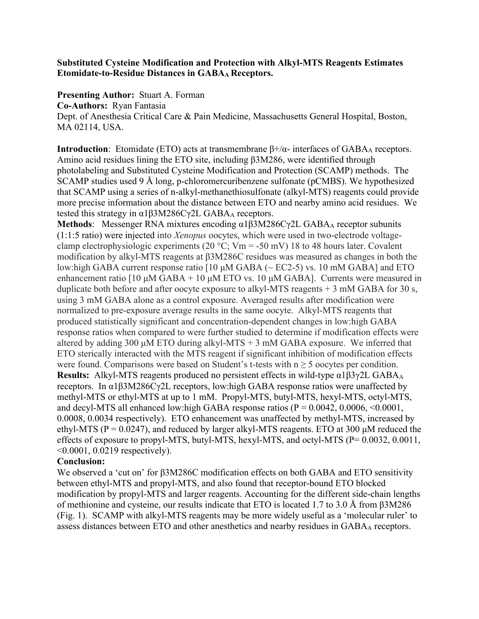## **Substituted Cysteine Modification and Protection with Alkyl-MTS Reagents Estimates Etomidate-to-Residue Distances in GABAA Receptors.**

**Presenting Author:** Stuart A. Forman

**Co-Authors:** Ryan Fantasia

Dept. of Anesthesia Critical Care & Pain Medicine, Massachusetts General Hospital, Boston, MA 02114, USA.

**Introduction**: Etomidate (ETO) acts at transmembrane  $\beta + / \alpha$ - interfaces of GABA<sub>A</sub> receptors. Amino acid residues lining the ETO site, including β3M286, were identified through photolabeling and Substituted Cysteine Modification and Protection (SCAMP) methods. The SCAMP studies used 9 Å long, p-chloromercuribenzene sulfonate (pCMBS). We hypothesized that SCAMP using a series of n-alkyl-methanethiosulfonate (alkyl-MTS) reagents could provide more precise information about the distance between ETO and nearby amino acid residues. We tested this strategy in  $α1β3M286Cγ2L GABA<sub>A</sub> receptors.$ 

Methods: Messenger RNA mixtures encoding α1β3M286Cγ2L GABA<sub>A</sub> receptor subunits (1:1:5 ratio) were injected into *Xenopus* oocytes, which were used in two-electrode voltageclamp electrophysiologic experiments (20 °C; Vm = -50 mV) 18 to 48 hours later. Covalent modification by alkyl-MTS reagents at β3M286C residues was measured as changes in both the low:high GABA current response ratio [10 μM GABA (~ EC2-5) vs. 10 mM GABA] and ETO enhancement ratio  $[10 \mu M GABA + 10 \mu M ETO$  vs. 10  $\mu M GABA$ ]. Currents were measured in duplicate both before and after oocyte exposure to alkyl-MTS reagents  $+$  3 mM GABA for 30 s, using 3 mM GABA alone as a control exposure. Averaged results after modification were normalized to pre-exposure average results in the same oocyte. Alkyl-MTS reagents that produced statistically significant and concentration-dependent changes in low:high GABA response ratios when compared to were further studied to determine if modification effects were altered by adding 300 μM ETO during alkyl-MTS  $+$  3 mM GABA exposure. We inferred that ETO sterically interacted with the MTS reagent if significant inhibition of modification effects were found. Comparisons were based on Student's t-tests with  $n \geq 5$  oocytes per condition. **Results:** Alkyl-MTS reagents produced no persistent effects in wild-type α1β3γ2L GABAA receptors. In α1β3M286Cγ2L receptors, low:high GABA response ratios were unaffected by methyl-MTS or ethyl-MTS at up to 1 mM. Propyl-MTS, butyl-MTS, hexyl-MTS, octyl-MTS, and decyl-MTS all enhanced low:high GABA response ratios ( $P = 0.0042$ , 0.0006, <0.0001, 0.0008, 0.0034 respectively). ETO enhancement was unaffected by methyl-MTS, increased by ethyl-MTS ( $P = 0.0247$ ), and reduced by larger alkyl-MTS reagents. ETO at 300  $\mu$ M reduced the effects of exposure to propyl-MTS, butyl-MTS, hexyl-MTS, and octyl-MTS ( $P= 0.0032, 0.0011$ , <0.0001, 0.0219 respectively).

## **Conclusion:**

We observed a 'cut on' for β3M286C modification effects on both GABA and ETO sensitivity between ethyl-MTS and propyl-MTS, and also found that receptor-bound ETO blocked modification by propyl-MTS and larger reagents. Accounting for the different side-chain lengths of methionine and cysteine, our results indicate that ETO is located 1.7 to 3.0 Å from β3M286 (Fig. 1). SCAMP with alkyl-MTS reagents may be more widely useful as a 'molecular ruler' to assess distances between ETO and other anesthetics and nearby residues in GABAA receptors.